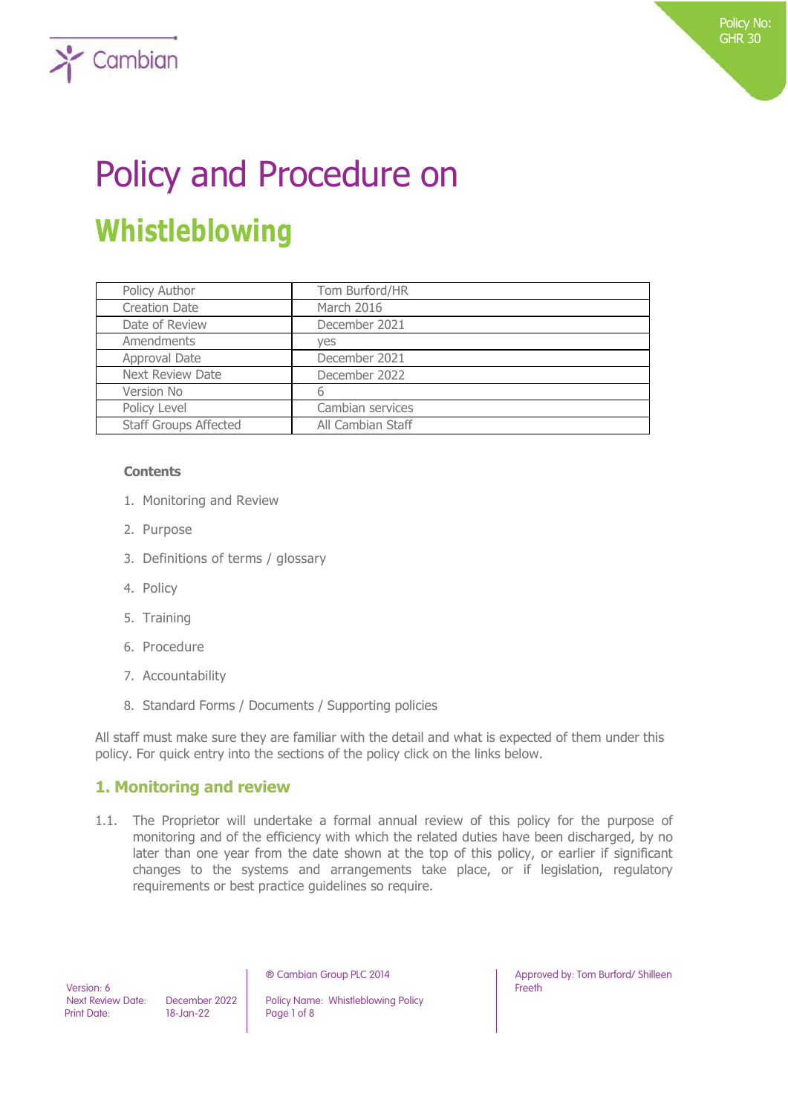# Policy and Procedure on **Whistleblowing**

| Policy Author                | Tom Burford/HR    |
|------------------------------|-------------------|
| <b>Creation Date</b>         | March 2016        |
| Date of Review               | December 2021     |
| Amendments                   | ves               |
| Approval Date                | December 2021     |
| <b>Next Review Date</b>      | December 2022     |
| Version No                   | 6                 |
| Policy Level                 | Cambian services  |
| <b>Staff Groups Affected</b> | All Cambian Staff |

#### **Contents**

 $\sum$  Cambian

- 1. Monitoring and Review
- 2. Purpose
- 3. Definitions of terms / glossary
- 4. Policy
- 5. Training
- 6. Procedure
- 7. Accountability
- 8. Standard Forms / Documents / Supporting policies

All staff must make sure they are familiar with the detail and what is expected of them under this policy. For quick entry into the sections of the policy click on the links below.

## **1. Monitoring and review**

1.1. The Proprietor will undertake a formal annual review of this policy for the purpose of monitoring and of the efficiency with which the related duties have been discharged, by no later than one year from the date shown at the top of this policy, or earlier if significant changes to the systems and arrangements take place, or if legislation, regulatory requirements or best practice guidelines so require.

Version: 6

Next Review Date: December 2022 Policy Name: Whistleblowing Policy<br>Print Date: 18-Jan-22 Page 1 of 8 Page 1 of 8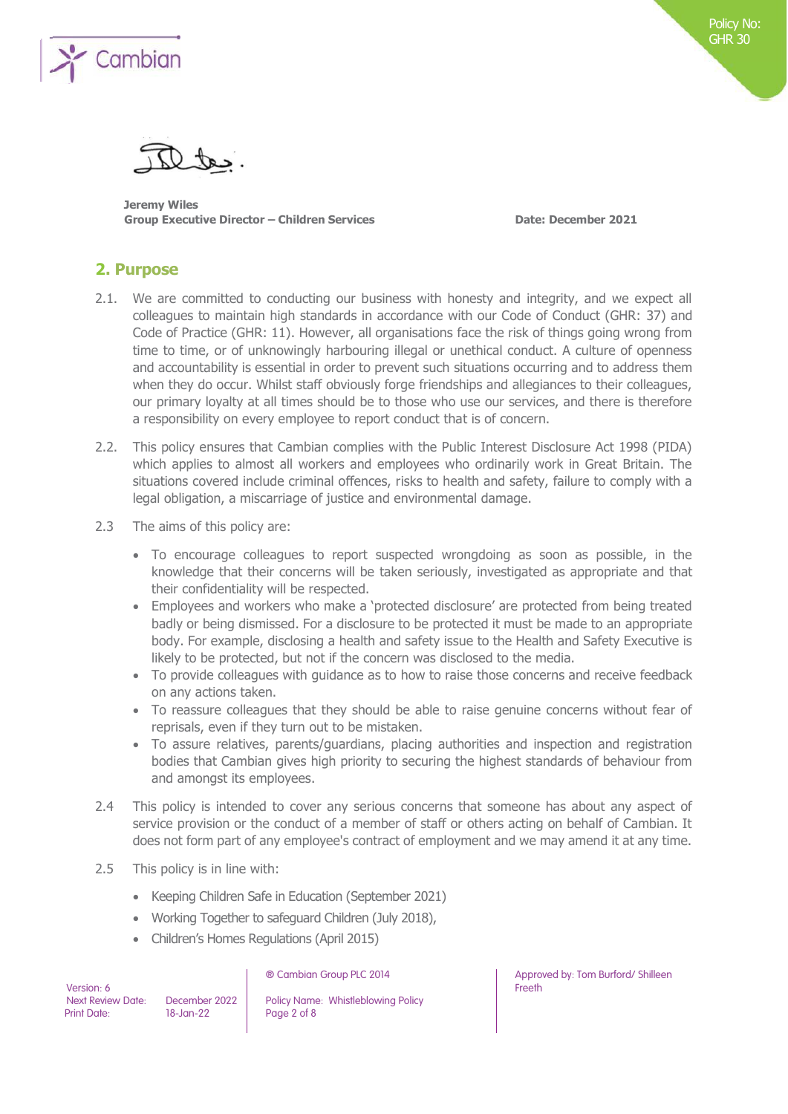

**Jeremy Wiles Group Executive Director – Children Services Date: December 2021**

## **2. Purpose**

- 2.1. We are committed to conducting our business with honesty and integrity, and we expect all colleagues to maintain high standards in accordance with our Code of Conduct (GHR: 37) and Code of Practice (GHR: 11). However, all organisations face the risk of things going wrong from time to time, or of unknowingly harbouring illegal or unethical conduct. A culture of openness and accountability is essential in order to prevent such situations occurring and to address them when they do occur. Whilst staff obviously forge friendships and allegiances to their colleagues, our primary loyalty at all times should be to those who use our services, and there is therefore a responsibility on every employee to report conduct that is of concern.
- 2.2. This policy ensures that Cambian complies with the Public Interest Disclosure Act 1998 (PIDA) which applies to almost all workers and employees who ordinarily work in Great Britain. The situations covered include criminal offences, risks to health and safety, failure to comply with a legal obligation, a miscarriage of justice and environmental damage.
- 2.3 The aims of this policy are:
	- To encourage colleagues to report suspected wrongdoing as soon as possible, in the knowledge that their concerns will be taken seriously, investigated as appropriate and that their confidentiality will be respected.
	- Employees and workers who make a 'protected disclosure' are protected from being treated badly or being dismissed. For a disclosure to be protected it must be made to an appropriate body. For example, disclosing a health and safety issue to the Health and Safety Executive is likely to be protected, but not if the concern was disclosed to the media.
	- To provide colleagues with guidance as to how to raise those concerns and receive feedback on any actions taken.
	- To reassure colleagues that they should be able to raise genuine concerns without fear of reprisals, even if they turn out to be mistaken.
	- To assure relatives, parents/guardians, placing authorities and inspection and registration bodies that Cambian gives high priority to securing the highest standards of behaviour from and amongst its employees.
- 2.4 This policy is intended to cover any serious concerns that someone has about any aspect of service provision or the conduct of a member of staff or others acting on behalf of Cambian. It does not form part of any employee's contract of employment and we may amend it at any time.
- 2.5 This policy is in line with:
	- Keeping Children Safe in Education (September 2021)
	- Working Together to safeguard Children (July 2018),
	- Children's Homes Regulations (April 2015)

| Version: 6               |  |
|--------------------------|--|
| <b>Next Review Date:</b> |  |
| <b>Print Date:</b>       |  |

December 2022 Policy Name: Whistleblowing Policy<br>
18-Jan-22 Page 2 of 8 Page 2 of 8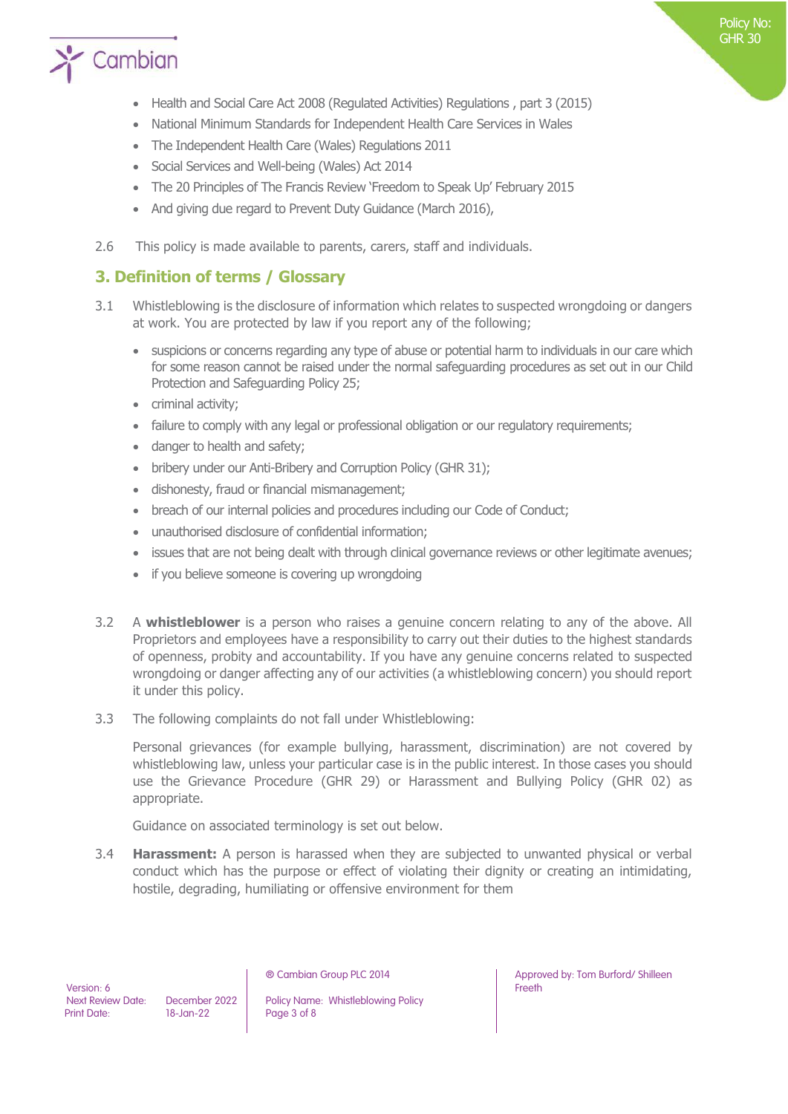

- Health and Social Care Act 2008 (Regulated Activities) Regulations , part 3 (2015)
- National Minimum Standards for Independent Health Care Services in Wales
- The Independent Health Care (Wales) Regulations 2011
- Social Services and Well-being (Wales) Act 2014
- The 20 Principles of The Francis Review 'Freedom to Speak Up' February 2015
- And giving due regard to Prevent Duty Guidance (March 2016),
- 2.6 This policy is made available to parents, carers, staff and individuals.

## **3. Definition of terms / Glossary**

- 3.1 Whistleblowing is the disclosure of information which relates to suspected wrongdoing or dangers at work. You are protected by law if you report any of the following;
	- suspicions or concerns regarding any type of abuse or potential harm to individuals in our care which for some reason cannot be raised under the normal safeguarding procedures as set out in our Child Protection and Safeguarding Policy 25;
	- criminal activity;
	- failure to comply with any legal or professional obligation or our regulatory requirements;
	- danger to health and safety;
	- bribery under our Anti-Bribery and Corruption Policy (GHR 31);
	- dishonesty, fraud or financial mismanagement;
	- breach of our internal policies and procedures including our Code of Conduct;
	- unauthorised disclosure of confidential information;
	- issues that are not being dealt with through clinical governance reviews or other legitimate avenues;
	- if you believe someone is covering up wrongdoing
- 3.2 A **whistleblower** is a person who raises a genuine concern relating to any of the above. All Proprietors and employees have a responsibility to carry out their duties to the highest standards of openness, probity and accountability. If you have any genuine concerns related to suspected wrongdoing or danger affecting any of our activities (a whistleblowing concern) you should report it under this policy.
- 3.3 The following complaints do not fall under Whistleblowing:

Personal grievances (for example bullying, harassment, discrimination) are not covered by whistleblowing law, unless your particular case is in the public interest. In those cases you should use the Grievance Procedure (GHR 29) or Harassment and Bullying Policy (GHR 02) as appropriate.

Guidance on associated terminology is set out below.

3.4 **Harassment:** A person is harassed when they are subjected to unwanted physical or verbal conduct which has the purpose or effect of violating their dignity or creating an intimidating, hostile, degrading, humiliating or offensive environment for them

Next Review Date: December 2022 Policy Name: Whistleblowing Policy<br>
Print Date: 18-Jan-22 Page 3 of 8 Page 3 of 8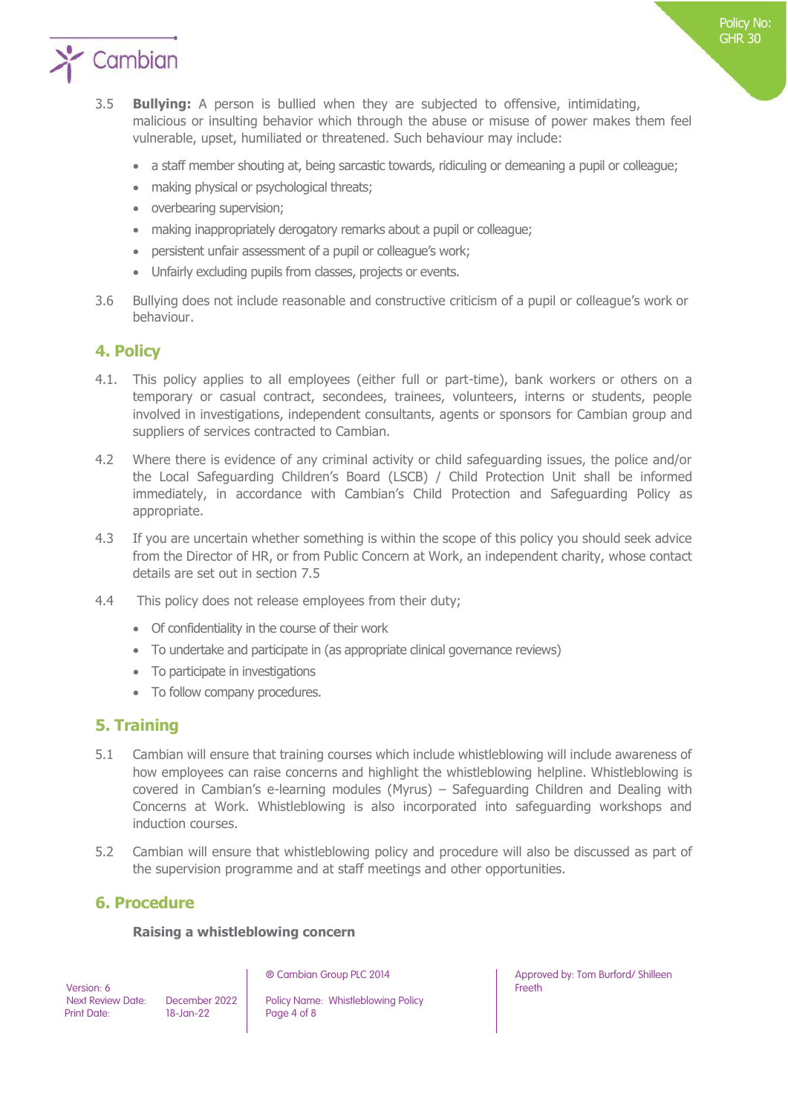

- a staff member shouting at, being sarcastic towards, ridiculing or demeaning a pupil or colleague;
- making physical or psychological threats;
- overbearing supervision;
- making inappropriately derogatory remarks about a pupil or colleague;
- persistent unfair assessment of a pupil or colleague's work;
- Unfairly excluding pupils from classes, projects or events.
- 3.6 Bullying does not include reasonable and constructive criticism of a pupil or colleague's work or behaviour.

## **4. Policy**

- 4.1. This policy applies to all employees (either full or part-time), bank workers or others on a temporary or casual contract, secondees, trainees, volunteers, interns or students, people involved in investigations, independent consultants, agents or sponsors for Cambian group and suppliers of services contracted to Cambian.
- 4.2 Where there is evidence of any criminal activity or child safeguarding issues, the police and/or the Local Safeguarding Children's Board (LSCB) / Child Protection Unit shall be informed immediately, in accordance with Cambian's Child Protection and Safeguarding Policy as appropriate.
- 4.3 If you are uncertain whether something is within the scope of this policy you should seek advice from the Director of HR, or from Public Concern at Work, an independent charity, whose contact details are set out in section 7.5
- 4.4 This policy does not release employees from their duty;
	- Of confidentiality in the course of their work
	- To undertake and participate in (as appropriate clinical governance reviews)
	- To participate in investigations
	- To follow company procedures.

## **5. Training**

- 5.1 Cambian will ensure that training courses which include whistleblowing will include awareness of how employees can raise concerns and highlight the whistleblowing helpline. Whistleblowing is covered in Cambian's e-learning modules (Myrus) – Safeguarding Children and Dealing with Concerns at Work. Whistleblowing is also incorporated into safeguarding workshops and induction courses.
- 5.2 Cambian will ensure that whistleblowing policy and procedure will also be discussed as part of the supervision programme and at staff meetings and other opportunities.

## **6. Procedure**

#### **Raising a whistleblowing concern**

Version: 6

Next Review Date: December 2022 Policy Name: Whistleblowing Policy<br>
Print Date: 18-Jan-22 Page 4 of 8 Page 4 of 8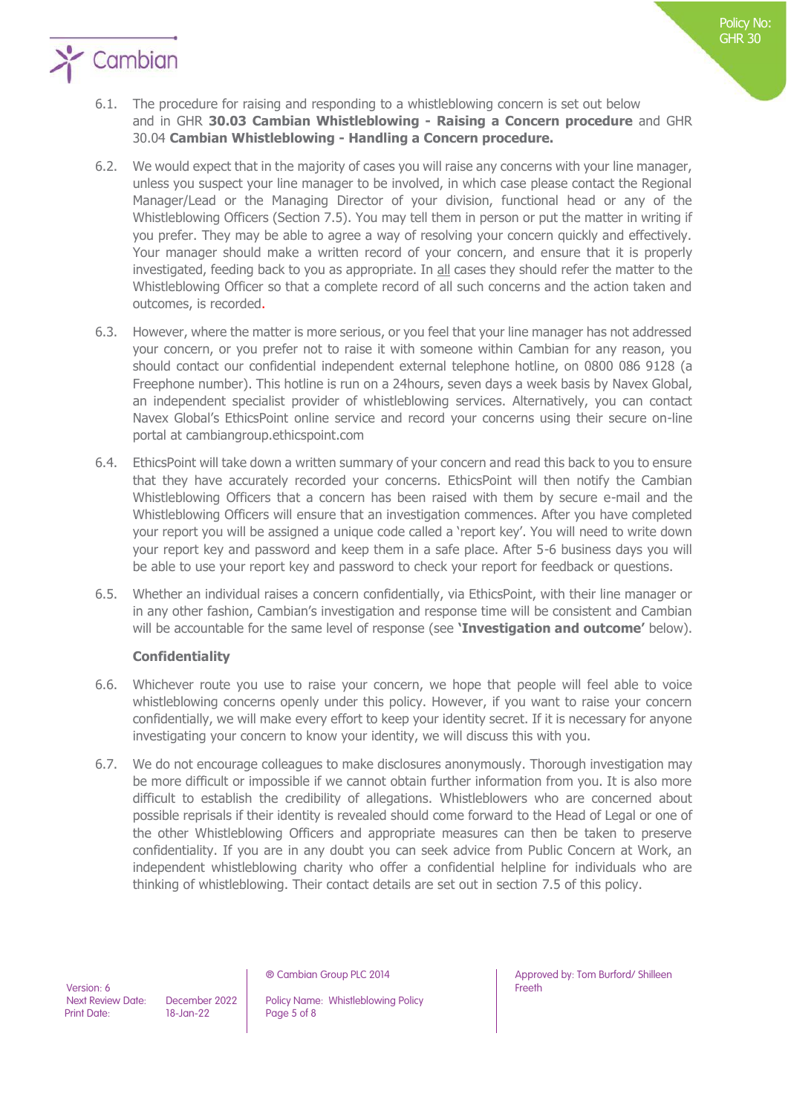

- 6.2. We would expect that in the majority of cases you will raise any concerns with your line manager, unless you suspect your line manager to be involved, in which case please contact the Regional Manager/Lead or the Managing Director of your division, functional head or any of the Whistleblowing Officers (Section 7.5). You may tell them in person or put the matter in writing if you prefer. They may be able to agree a way of resolving your concern quickly and effectively. Your manager should make a written record of your concern, and ensure that it is properly investigated, feeding back to you as appropriate. In all cases they should refer the matter to the Whistleblowing Officer so that a complete record of all such concerns and the action taken and outcomes, is recorded.
- 6.3. However, where the matter is more serious, or you feel that your line manager has not addressed your concern, or you prefer not to raise it with someone within Cambian for any reason, you should contact our confidential independent external telephone hotline, on 0800 086 9128 (a Freephone number). This hotline is run on a 24hours, seven days a week basis by Navex Global, an independent specialist provider of whistleblowing services. Alternatively, you can contact Navex Global's EthicsPoint online service and record your concerns using their secure on-line portal at cambiangroup.ethicspoint.com
- 6.4. EthicsPoint will take down a written summary of your concern and read this back to you to ensure that they have accurately recorded your concerns. EthicsPoint will then notify the Cambian Whistleblowing Officers that a concern has been raised with them by secure e-mail and the Whistleblowing Officers will ensure that an investigation commences. After you have completed your report you will be assigned a unique code called a 'report key'. You will need to write down your report key and password and keep them in a safe place. After 5-6 business days you will be able to use your report key and password to check your report for feedback or questions.
- 6.5. Whether an individual raises a concern confidentially, via EthicsPoint, with their line manager or in any other fashion, Cambian's investigation and response time will be consistent and Cambian will be accountable for the same level of response (see **'Investigation and outcome'** below).

## **Confidentiality**

- 6.6. Whichever route you use to raise your concern, we hope that people will feel able to voice whistleblowing concerns openly under this policy. However, if you want to raise your concern confidentially, we will make every effort to keep your identity secret. If it is necessary for anyone investigating your concern to know your identity, we will discuss this with you.
- 6.7. We do not encourage colleagues to make disclosures anonymously. Thorough investigation may be more difficult or impossible if we cannot obtain further information from you. It is also more difficult to establish the credibility of allegations. Whistleblowers who are concerned about possible reprisals if their identity is revealed should come forward to the Head of Legal or one of the other Whistleblowing Officers and appropriate measures can then be taken to preserve confidentiality. If you are in any doubt you can seek advice from Public Concern at Work, an independent whistleblowing charity who offer a confidential helpline for individuals who are thinking of whistleblowing. Their contact details are set out in section 7.5 of this policy.

Page 5 of 8

Policy No: GHR 30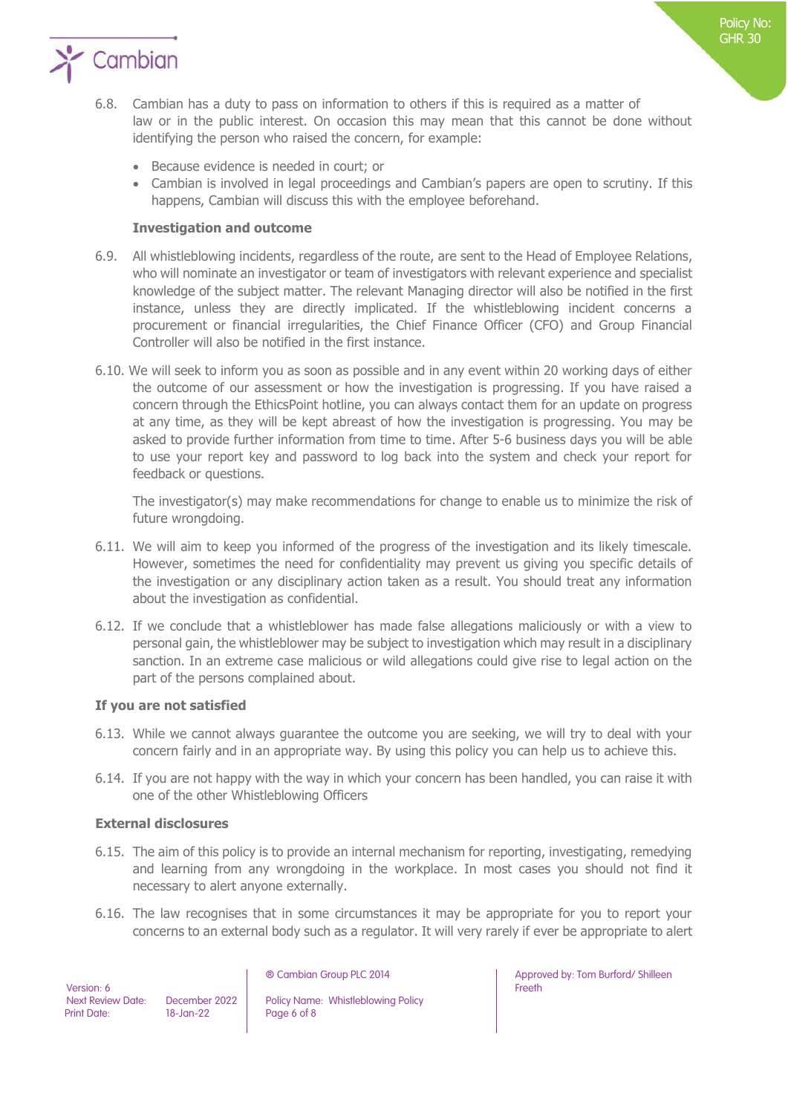

- 6.8. Cambian has a duty to pass on information to others if this is required as a matter of law or in the public interest. On occasion this may mean that this cannot be done without identifying the person who raised the concern, for example:
	- Because evidence is needed in court; or
	- Cambian is involved in legal proceedings and Cambian's papers are open to scrutiny. If this happens, Cambian will discuss this with the employee beforehand.

#### **Investigation and outcome**

- 6.9. All whistleblowing incidents, regardless of the route, are sent to the Head of Employee Relations, who will nominate an investigator or team of investigators with relevant experience and specialist knowledge of the subject matter. The relevant Managing director will also be notified in the first instance, unless they are directly implicated. If the whistleblowing incident concerns a procurement or financial irregularities, the Chief Finance Officer (CFO) and Group Financial Controller will also be notified in the first instance.
- 6.10. We will seek to inform you as soon as possible and in any event within 20 working days of either the outcome of our assessment or how the investigation is progressing. If you have raised a concern through the EthicsPoint hotline, you can always contact them for an update on progress at any time, as they will be kept abreast of how the investigation is progressing. You may be asked to provide further information from time to time. After 5-6 business days you will be able to use your report key and password to log back into the system and check your report for feedback or questions.

The investigator(s) may make recommendations for change to enable us to minimize the risk of future wrongdoing.

- 6.11. We will aim to keep you informed of the progress of the investigation and its likely timescale. However, sometimes the need for confidentiality may prevent us giving you specific details of the investigation or any disciplinary action taken as a result. You should treat any information about the investigation as confidential.
- 6.12. If we conclude that a whistleblower has made false allegations maliciously or with a view to personal gain, the whistleblower may be subject to investigation which may result in a disciplinary sanction. In an extreme case malicious or wild allegations could give rise to legal action on the part of the persons complained about.

#### **If you are not satisfied**

- 6.13. While we cannot always guarantee the outcome you are seeking, we will try to deal with your concern fairly and in an appropriate way. By using this policy you can help us to achieve this.
- 6.14. If you are not happy with the way in which your concern has been handled, you can raise it with one of the other Whistleblowing Officers

#### **External disclosures**

- 6.15. The aim of this policy is to provide an internal mechanism for reporting, investigating, remedying and learning from any wrongdoing in the workplace. In most cases you should not find it necessary to alert anyone externally.
- 6.16. The law recognises that in some circumstances it may be appropriate for you to report your concerns to an external body such as a regulator. It will very rarely if ever be appropriate to alert

Next Review Date: December 2022 Policy Name: Whistleblowing Policy<br>
Print Date: 18-Jan-22 Page 6 of 8 Page 6 of 8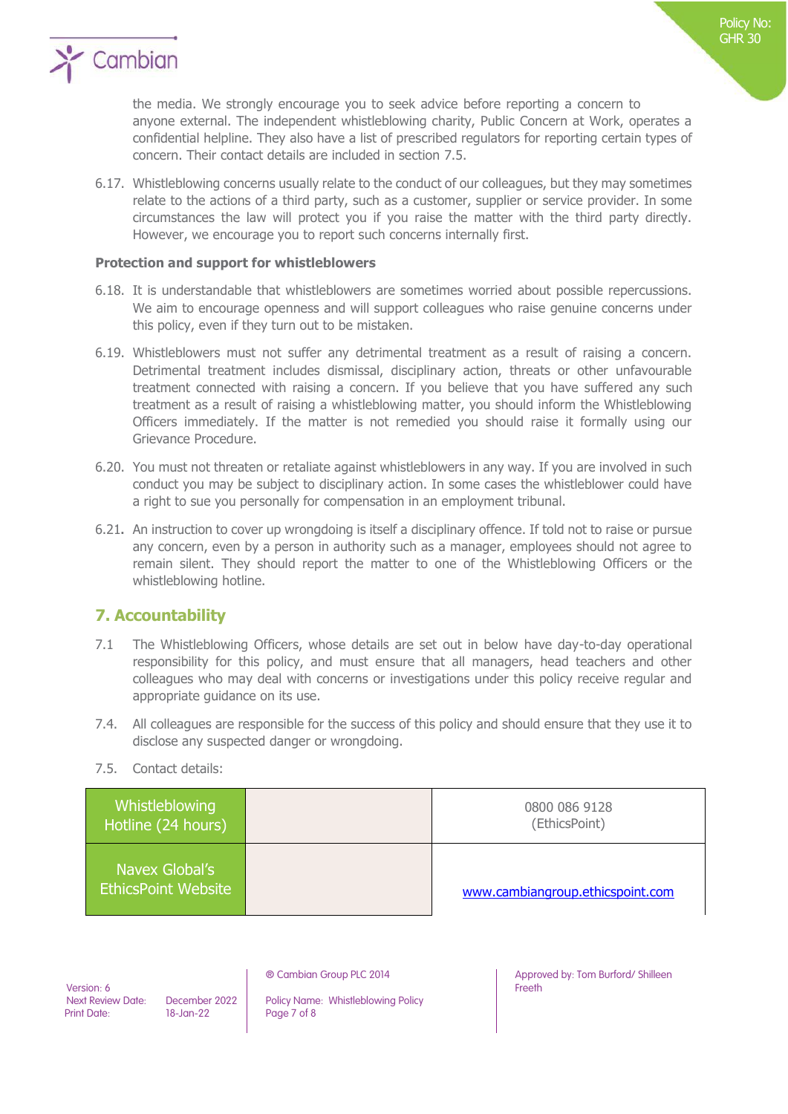

the media. We strongly encourage you to seek advice before reporting a concern to anyone external. The independent whistleblowing charity, Public Concern at Work, operates a confidential helpline. They also have a list of prescribed regulators for reporting certain types of concern. Their contact details are included in section 7.5.

6.17. Whistleblowing concerns usually relate to the conduct of our colleagues, but they may sometimes relate to the actions of a third party, such as a customer, supplier or service provider. In some circumstances the law will protect you if you raise the matter with the third party directly. However, we encourage you to report such concerns internally first.

#### **Protection and support for whistleblowers**

- 6.18. It is understandable that whistleblowers are sometimes worried about possible repercussions. We aim to encourage openness and will support colleagues who raise genuine concerns under this policy, even if they turn out to be mistaken.
- 6.19. Whistleblowers must not suffer any detrimental treatment as a result of raising a concern. Detrimental treatment includes dismissal, disciplinary action, threats or other unfavourable treatment connected with raising a concern. If you believe that you have suffered any such treatment as a result of raising a whistleblowing matter, you should inform the Whistleblowing Officers immediately. If the matter is not remedied you should raise it formally using our Grievance Procedure.
- 6.20. You must not threaten or retaliate against whistleblowers in any way. If you are involved in such conduct you may be subject to disciplinary action. In some cases the whistleblower could have a right to sue you personally for compensation in an employment tribunal.
- 6.21**.** An instruction to cover up wrongdoing is itself a disciplinary offence. If told not to raise or pursue any concern, even by a person in authority such as a manager, employees should not agree to remain silent. They should report the matter to one of the Whistleblowing Officers or the whistleblowing hotline.

## **7. Accountability**

- 7.1 The Whistleblowing Officers, whose details are set out in below have day-to-day operational responsibility for this policy, and must ensure that all managers, head teachers and other colleagues who may deal with concerns or investigations under this policy receive regular and appropriate guidance on its use.
- 7.4. All colleagues are responsible for the success of this policy and should ensure that they use it to disclose any suspected danger or wrongdoing.
- 7.5. Contact details:

| Whistleblowing<br>Hotline (24 hours)         | 0800 086 9128<br>(EthicsPoint)   |
|----------------------------------------------|----------------------------------|
| Navex Global's<br><b>EthicsPoint Website</b> | www.cambiangroup.ethicspoint.com |

Version: 6

Next Review Date: December 2022 Policy Name: Whistleblowing Policy<br>
Print Date: 18-Jan-22 Page 7 of 8 Page 7 of 8